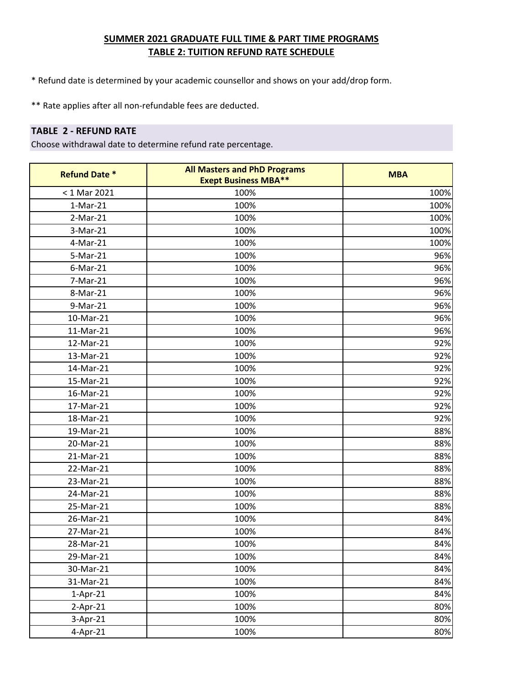- \* Refund date is determined by your academic counsellor and shows on your add/drop form.
- \*\* Rate applies after all non-refundable fees are deducted.

#### **TABLE 2 - REFUND RATE**

| <b>Refund Date *</b> | <b>All Masters and PhD Programs</b><br><b>Exept Business MBA**</b> | <b>MBA</b> |
|----------------------|--------------------------------------------------------------------|------------|
| < 1 Mar 2021         | 100%                                                               | 100%       |
| $1-Mar-21$           | 100%                                                               | 100%       |
| $2-Mar-21$           | 100%                                                               | 100%       |
| 3-Mar-21             | 100%                                                               | 100%       |
| 4-Mar-21             | 100%                                                               | 100%       |
| 5-Mar-21             | 100%                                                               | 96%        |
| $6$ -Mar-21          | 100%                                                               | 96%        |
| 7-Mar-21             | 100%                                                               | 96%        |
| 8-Mar-21             | 100%                                                               | 96%        |
| 9-Mar-21             | 100%                                                               | 96%        |
| 10-Mar-21            | 100%                                                               | 96%        |
| 11-Mar-21            | 100%                                                               | 96%        |
| 12-Mar-21            | 100%                                                               | 92%        |
| 13-Mar-21            | 100%                                                               | 92%        |
| 14-Mar-21            | 100%                                                               | 92%        |
| 15-Mar-21            | 100%                                                               | 92%        |
| 16-Mar-21            | 100%                                                               | 92%        |
| 17-Mar-21            | 100%                                                               | 92%        |
| 18-Mar-21            | 100%                                                               | 92%        |
| 19-Mar-21            | 100%                                                               | 88%        |
| 20-Mar-21            | 100%                                                               | 88%        |
| 21-Mar-21            | 100%                                                               | 88%        |
| 22-Mar-21            | 100%                                                               | 88%        |
| 23-Mar-21            | 100%                                                               | 88%        |
| 24-Mar-21            | 100%                                                               | 88%        |
| 25-Mar-21            | 100%                                                               | 88%        |
| 26-Mar-21            | 100%                                                               | 84%        |
| 27-Mar-21            | 100%                                                               | 84%        |
| 28-Mar-21            | 100%                                                               | 84%        |
| 29-Mar-21            | 100%                                                               | 84%        |
| 30-Mar-21            | 100%                                                               | 84%        |
| 31-Mar-21            | 100%                                                               | 84%        |
| $1-Apr-21$           | 100%                                                               | 84%        |
| $2-Apr-21$           | 100%                                                               | 80%        |
| 3-Apr-21             | 100%                                                               | 80%        |
| 4-Apr-21             | 100%                                                               | 80%        |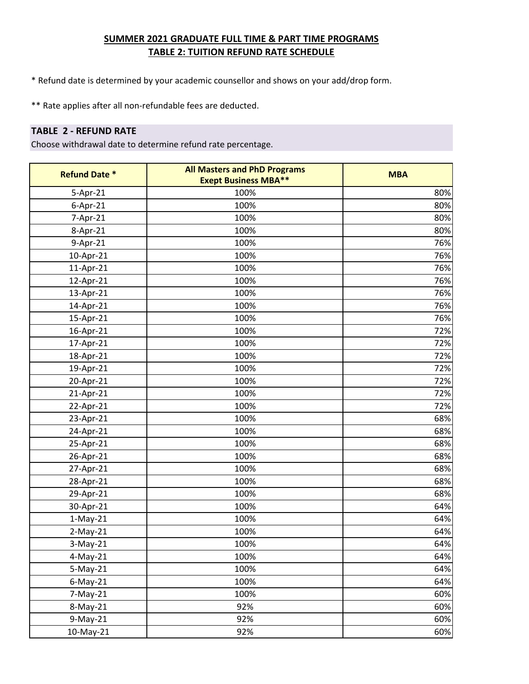- \* Refund date is determined by your academic counsellor and shows on your add/drop form.
- \*\* Rate applies after all non-refundable fees are deducted.

### **TABLE 2 - REFUND RATE**

| <b>Refund Date *</b> | <b>All Masters and PhD Programs</b><br><b>Exept Business MBA**</b> | <b>MBA</b> |
|----------------------|--------------------------------------------------------------------|------------|
| 5-Apr-21             | 100%                                                               | 80%        |
| $6$ -Apr-21          | 100%                                                               | 80%        |
| 7-Apr-21             | 100%                                                               | 80%        |
| 8-Apr-21             | 100%                                                               | 80%        |
| 9-Apr-21             | 100%                                                               | 76%        |
| 10-Apr-21            | 100%                                                               | 76%        |
| 11-Apr-21            | 100%                                                               | 76%        |
| 12-Apr-21            | 100%                                                               | 76%        |
| 13-Apr-21            | 100%                                                               | 76%        |
| 14-Apr-21            | 100%                                                               | 76%        |
| 15-Apr-21            | 100%                                                               | 76%        |
| 16-Apr-21            | 100%                                                               | 72%        |
| 17-Apr-21            | 100%                                                               | 72%        |
| 18-Apr-21            | 100%                                                               | 72%        |
| 19-Apr-21            | 100%                                                               | 72%        |
| 20-Apr-21            | 100%                                                               | 72%        |
| 21-Apr-21            | 100%                                                               | 72%        |
| 22-Apr-21            | 100%                                                               | 72%        |
| 23-Apr-21            | 100%                                                               | 68%        |
| 24-Apr-21            | 100%                                                               | 68%        |
| 25-Apr-21            | 100%                                                               | 68%        |
| 26-Apr-21            | 100%                                                               | 68%        |
| 27-Apr-21            | 100%                                                               | 68%        |
| 28-Apr-21            | 100%                                                               | 68%        |
| 29-Apr-21            | 100%                                                               | 68%        |
| 30-Apr-21            | 100%                                                               | 64%        |
| $1-May-21$           | 100%                                                               | 64%        |
| $2-May-21$           | 100%                                                               | 64%        |
| $3-May-21$           | 100%                                                               | 64%        |
| $4$ -May-21          | 100%                                                               | 64%        |
| 5-May-21             | 100%                                                               | 64%        |
| $6$ -May-21          | 100%                                                               | 64%        |
| $7-May-21$           | 100%                                                               | 60%        |
| 8-May-21             | 92%                                                                | 60%        |
| $9-May-21$           | 92%                                                                | 60%        |
| 10-May-21            | 92%                                                                | 60%        |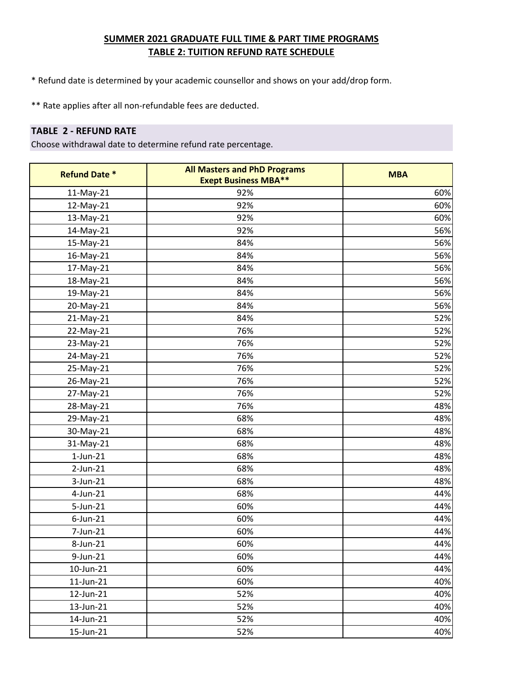- \* Refund date is determined by your academic counsellor and shows on your add/drop form.
- \*\* Rate applies after all non-refundable fees are deducted.

#### **TABLE 2 - REFUND RATE**

| <b>Refund Date *</b> | <b>All Masters and PhD Programs</b><br><b>Exept Business MBA**</b> | <b>MBA</b> |
|----------------------|--------------------------------------------------------------------|------------|
| 11-May-21            | 92%                                                                | 60%        |
| 12-May-21            | 92%                                                                | 60%        |
| 13-May-21            | 92%                                                                | 60%        |
| 14-May-21            | 92%                                                                | 56%        |
| 15-May-21            | 84%                                                                | 56%        |
| 16-May-21            | 84%                                                                | 56%        |
| 17-May-21            | 84%                                                                | 56%        |
| 18-May-21            | 84%                                                                | 56%        |
| 19-May-21            | 84%                                                                | 56%        |
| 20-May-21            | 84%                                                                | 56%        |
| 21-May-21            | 84%                                                                | 52%        |
| 22-May-21            | 76%                                                                | 52%        |
| 23-May-21            | 76%                                                                | 52%        |
| 24-May-21            | 76%                                                                | 52%        |
| 25-May-21            | 76%                                                                | 52%        |
| 26-May-21            | 76%                                                                | 52%        |
| 27-May-21            | 76%                                                                | 52%        |
| 28-May-21            | 76%                                                                | 48%        |
| 29-May-21            | 68%                                                                | 48%        |
| 30-May-21            | 68%                                                                | 48%        |
| 31-May-21            | 68%                                                                | 48%        |
| $1$ -Jun- $21$       | 68%                                                                | 48%        |
| $2$ -Jun- $21$       | 68%                                                                | 48%        |
| 3-Jun-21             | 68%                                                                | 48%        |
| 4-Jun-21             | 68%                                                                | 44%        |
| 5-Jun-21             | 60%                                                                | 44%        |
| $6$ -Jun-21          | 60%                                                                | 44%        |
| 7-Jun-21             | 60%                                                                | 44%        |
| 8-Jun-21             | 60%                                                                | 44%        |
| 9-Jun-21             | 60%                                                                | 44%        |
| 10-Jun-21            | 60%                                                                | 44%        |
| $11$ -Jun- $21$      | 60%                                                                | 40%        |
| 12-Jun-21            | 52%                                                                | 40%        |
| 13-Jun-21            | 52%                                                                | 40%        |
| 14-Jun-21            | 52%                                                                | 40%        |
| 15-Jun-21            | 52%                                                                | 40%        |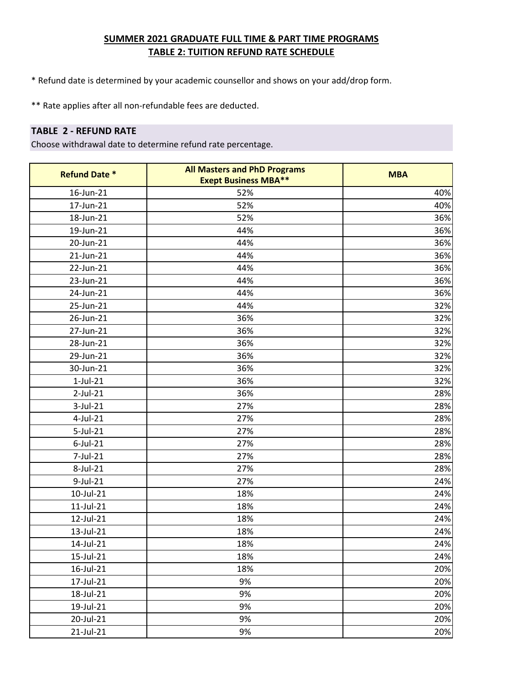- \* Refund date is determined by your academic counsellor and shows on your add/drop form.
- \*\* Rate applies after all non-refundable fees are deducted.

#### **TABLE 2 - REFUND RATE**

| <b>Refund Date *</b> | <b>All Masters and PhD Programs</b><br><b>Exept Business MBA**</b> | <b>MBA</b> |
|----------------------|--------------------------------------------------------------------|------------|
| 16-Jun-21            | 52%                                                                | 40%        |
| 17-Jun-21            | 52%                                                                | 40%        |
| 18-Jun-21            | 52%                                                                | 36%        |
| 19-Jun-21            | 44%                                                                | 36%        |
| 20-Jun-21            | 44%                                                                | 36%        |
| 21-Jun-21            | 44%                                                                | 36%        |
| 22-Jun-21            | 44%                                                                | 36%        |
| 23-Jun-21            | 44%                                                                | 36%        |
| 24-Jun-21            | 44%                                                                | 36%        |
| 25-Jun-21            | 44%                                                                | 32%        |
| 26-Jun-21            | 36%                                                                | 32%        |
| 27-Jun-21            | 36%                                                                | 32%        |
| 28-Jun-21            | 36%                                                                | 32%        |
| 29-Jun-21            | 36%                                                                | 32%        |
| 30-Jun-21            | 36%                                                                | 32%        |
| $1$ -Jul- $21$       | 36%                                                                | 32%        |
| $2$ -Jul-21          | 36%                                                                | 28%        |
| 3-Jul-21             | 27%                                                                | 28%        |
| 4-Jul-21             | 27%                                                                | 28%        |
| 5-Jul-21             | 27%                                                                | 28%        |
| $6$ -Jul-21          | 27%                                                                | 28%        |
| 7-Jul-21             | 27%                                                                | 28%        |
| 8-Jul-21             | 27%                                                                | 28%        |
| 9-Jul-21             | 27%                                                                | 24%        |
| 10-Jul-21            | 18%                                                                | 24%        |
| 11-Jul-21            | 18%                                                                | 24%        |
| 12-Jul-21            | 18%                                                                | 24%        |
| 13-Jul-21            | 18%                                                                | 24%        |
| 14-Jul-21            | 18%                                                                | 24%        |
| 15-Jul-21            | 18%                                                                | 24%        |
| 16-Jul-21            | 18%                                                                | 20%        |
| 17-Jul-21            | 9%                                                                 | 20%        |
| 18-Jul-21            | 9%                                                                 | 20%        |
| 19-Jul-21            | 9%                                                                 | 20%        |
| 20-Jul-21            | 9%                                                                 | 20%        |
| 21-Jul-21            | 9%                                                                 | 20%        |